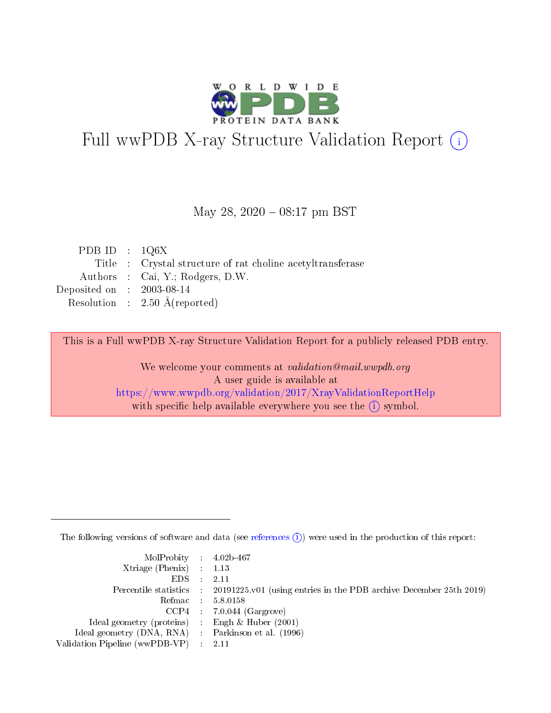

# Full wwPDB X-ray Structure Validation Report (i)

#### May 28, 2020 - 08:17 pm BST

| PDB ID : $1Q6X$             |                                                            |
|-----------------------------|------------------------------------------------------------|
|                             | Title : Crystal structure of rat choline acetyltransferase |
|                             | Authors : Cai, Y.; Rodgers, D.W.                           |
| Deposited on : $2003-08-14$ |                                                            |
|                             | Resolution : $2.50 \text{ Å}$ (reported)                   |

This is a Full wwPDB X-ray Structure Validation Report for a publicly released PDB entry.

We welcome your comments at validation@mail.wwpdb.org A user guide is available at <https://www.wwpdb.org/validation/2017/XrayValidationReportHelp> with specific help available everywhere you see the  $(i)$  symbol.

The following versions of software and data (see [references](https://www.wwpdb.org/validation/2017/XrayValidationReportHelp#references)  $(i)$ ) were used in the production of this report:

| $MolProbability$ 4.02b-467                          |                                                                                            |
|-----------------------------------------------------|--------------------------------------------------------------------------------------------|
| Xtriage (Phenix) $: 1.13$                           |                                                                                            |
| $EDS$ :                                             | -2.11                                                                                      |
|                                                     | Percentile statistics : 20191225.v01 (using entries in the PDB archive December 25th 2019) |
|                                                     | Refmac : 5.8.0158                                                                          |
|                                                     | $CCP4$ : 7.0.044 (Gargrove)                                                                |
| Ideal geometry (proteins) : Engh $\&$ Huber (2001)  |                                                                                            |
| Ideal geometry (DNA, RNA) : Parkinson et al. (1996) |                                                                                            |
| Validation Pipeline (wwPDB-VP)                      | -2.11                                                                                      |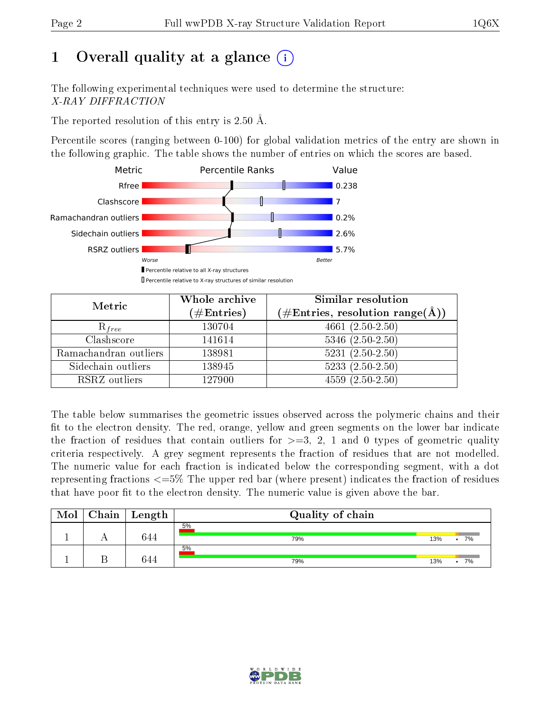# 1 [O](https://www.wwpdb.org/validation/2017/XrayValidationReportHelp#overall_quality)verall quality at a glance  $(i)$

The following experimental techniques were used to determine the structure: X-RAY DIFFRACTION

The reported resolution of this entry is 2.50 Å.

Percentile scores (ranging between 0-100) for global validation metrics of the entry are shown in the following graphic. The table shows the number of entries on which the scores are based.



| Metric                | Whole archive<br>$(\#\text{Entries})$ | Similar resolution<br>$(\#\text{Entries},\,\text{resolution}\,\,\text{range}(\textup{\AA}))$ |
|-----------------------|---------------------------------------|----------------------------------------------------------------------------------------------|
| $R_{free}$            | 130704                                | 4661 $(2.50-2.50)$                                                                           |
| Clashscore            | 141614                                | $5346$ $(2.50-2.50)$                                                                         |
| Ramachandran outliers | 138981                                | $5231 (2.50 - 2.50)$                                                                         |
| Sidechain outliers    | 138945                                | $5233(2.50-2.50)$                                                                            |
| RSRZ outliers         | 127900                                | $4559(2.50-2.50)$                                                                            |

The table below summarises the geometric issues observed across the polymeric chains and their fit to the electron density. The red, orange, yellow and green segments on the lower bar indicate the fraction of residues that contain outliers for  $>=3, 2, 1$  and 0 types of geometric quality criteria respectively. A grey segment represents the fraction of residues that are not modelled. The numeric value for each fraction is indicated below the corresponding segment, with a dot representing fractions  $\epsilon=5\%$  The upper red bar (where present) indicates the fraction of residues that have poor fit to the electron density. The numeric value is given above the bar.

| Mol | ${\rm Chain \mid Length}$ | Quality of chain |     |    |
|-----|---------------------------|------------------|-----|----|
|     | 644                       | 5%<br>79%        | 13% | 7% |
|     | 344                       | 5%<br>79%        | 13% | 7% |

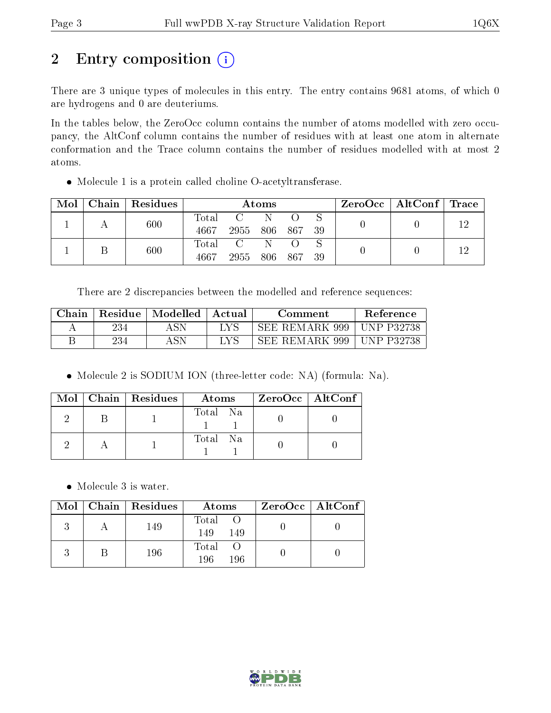# 2 Entry composition (i)

There are 3 unique types of molecules in this entry. The entry contains 9681 atoms, of which 0 are hydrogens and 0 are deuteriums.

In the tables below, the ZeroOcc column contains the number of atoms modelled with zero occupancy, the AltConf column contains the number of residues with at least one atom in alternate conformation and the Trace column contains the number of residues modelled with at most 2 atoms.

Molecule 1 is a protein called choline O-acetyltransferase.

| Mol | Chain   Residues | Atoms         |      |       |        | $\text{ZeroOcc}$   AltConf   Trace |  |  |
|-----|------------------|---------------|------|-------|--------|------------------------------------|--|--|
|     | 600              | Total<br>4667 | 2955 | - 806 | 867 39 |                                    |  |  |
|     | 600              | Total<br>4667 | 2955 | 806   | - 867  | -39                                |  |  |

There are 2 discrepancies between the modelled and reference sequences:

| Chain | Residue | Modelled | Actual | Comment        | <b>Reference</b>  |
|-------|---------|----------|--------|----------------|-------------------|
|       | 234     |          |        | SEE REMARK 999 | UNP P32738        |
|       | 234     |          |        | SEE REMARK 999 | <b>UNP P32738</b> |

• Molecule 2 is SODIUM ION (three-letter code: NA) (formula: Na).

|  | $Mol$   Chain   Residues | Atoms    | ZeroOcc   AltConf |
|--|--------------------------|----------|-------------------|
|  |                          | Total Na |                   |
|  |                          | Total Na |                   |

• Molecule 3 is water.

|  | $\text{Mol}$   Chain   Residues | Atoms               | $ZeroOcc \mid AltConf \mid$ |
|--|---------------------------------|---------------------|-----------------------------|
|  | 149                             | Total<br>149<br>149 |                             |
|  | 196                             | Total<br>196<br>196 |                             |

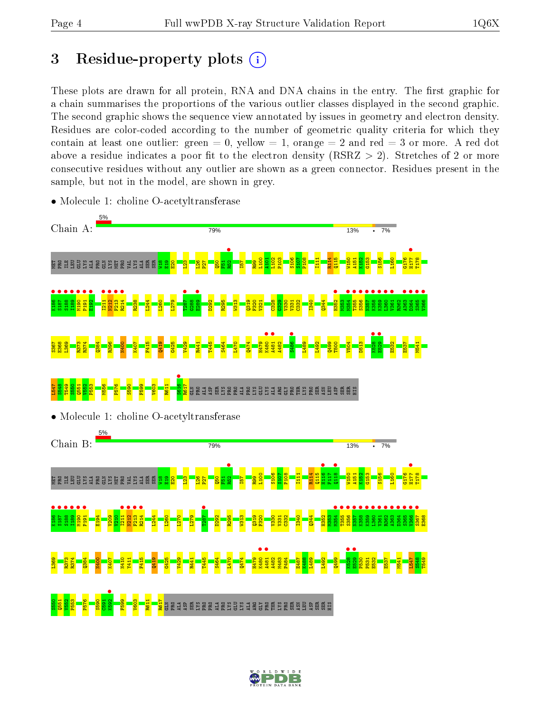# 3 Residue-property plots  $(i)$

These plots are drawn for all protein, RNA and DNA chains in the entry. The first graphic for a chain summarises the proportions of the various outlier classes displayed in the second graphic. The second graphic shows the sequence view annotated by issues in geometry and electron density. Residues are color-coded according to the number of geometric quality criteria for which they contain at least one outlier: green  $= 0$ , yellow  $= 1$ , orange  $= 2$  and red  $= 3$  or more. A red dot above a residue indicates a poor fit to the electron density (RSRZ  $> 2$ ). Stretches of 2 or more consecutive residues without any outlier are shown as a green connector. Residues present in the sample, but not in the model, are shown in grey.



• Molecule 1: choline O-acetyltransferase

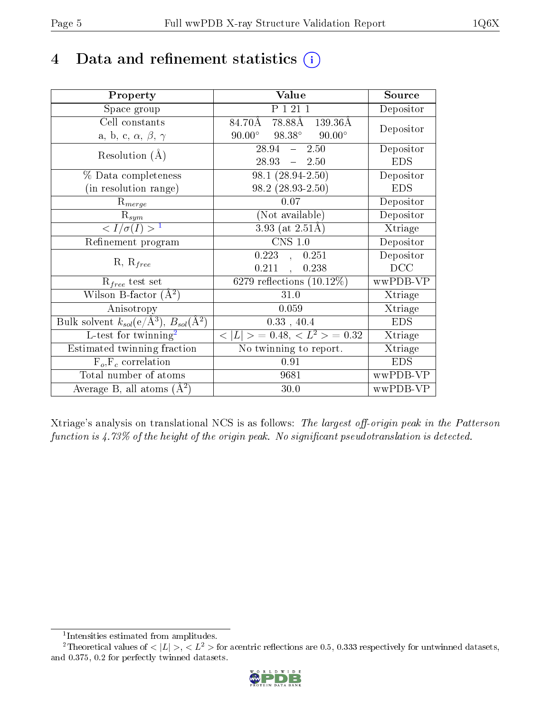# 4 Data and refinement statistics  $(i)$

| Property                                                         | Value                                           | Source     |
|------------------------------------------------------------------|-------------------------------------------------|------------|
| Space group                                                      | P 1 21 1                                        | Depositor  |
| Cell constants                                                   | 78.88Å 139.36Å<br>84.70Å                        | Depositor  |
| a, b, c, $\alpha$ , $\beta$ , $\gamma$                           | $90.00^{\circ}$ $98.38^{\circ}$ $90.00^{\circ}$ |            |
| Resolution $(A)$                                                 | $28.94 - 2.50$                                  | Depositor  |
|                                                                  | $28.93 = 2.50$                                  | <b>EDS</b> |
| % Data completeness                                              | $98.1(28.94-2.50)$                              | Depositor  |
| (in resolution range)                                            | $98.2(28.93-2.50)$                              | <b>EDS</b> |
| $R_{merge}$                                                      | 0.07                                            | Depositor  |
| $\mathrm{R}_{sym}$                                               | (Not available)                                 | Depositor  |
| $\langle I/\sigma(I) \rangle^{-1}$                               | $3.93$ (at 2.51Å)                               | Xtriage    |
| Refinement program                                               | $CNS$ 1.0                                       | Depositor  |
| $R, R_{free}$                                                    | $0.223$ , $0.251$                               | Depositor  |
|                                                                  | 0.211,<br>0.238                                 | DCC        |
| $R_{free}$ test set                                              | 6279 reflections $(10.12\%)$                    | wwPDB-VP   |
| Wilson B-factor $(A^2)$                                          | 31.0                                            | Xtriage    |
| Anisotropy                                                       | 0.059                                           | Xtriage    |
| Bulk solvent $k_{sol}(\text{e}/\text{A}^3), B_{sol}(\text{A}^2)$ | 0.33, 40.4                                      | <b>EDS</b> |
| L-test for twinning <sup>2</sup>                                 | $< L >$ = 0.48, $< L^2 >$ = 0.32                | Xtriage    |
| Estimated twinning fraction                                      | No twinning to report.                          | Xtriage    |
| $F_o, F_c$ correlation                                           | 0.91                                            | <b>EDS</b> |
| Total number of atoms                                            | 9681                                            | wwPDB-VP   |
| Average B, all atoms $(A^2)$                                     | 30.0                                            | wwPDB-VP   |

Xtriage's analysis on translational NCS is as follows: The largest off-origin peak in the Patterson function is  $4.73\%$  of the height of the origin peak. No significant pseudotranslation is detected.

<sup>&</sup>lt;sup>2</sup>Theoretical values of  $\langle |L| \rangle$ ,  $\langle L^2 \rangle$  for acentric reflections are 0.5, 0.333 respectively for untwinned datasets, and 0.375, 0.2 for perfectly twinned datasets.



<span id="page-4-1"></span><span id="page-4-0"></span><sup>1</sup> Intensities estimated from amplitudes.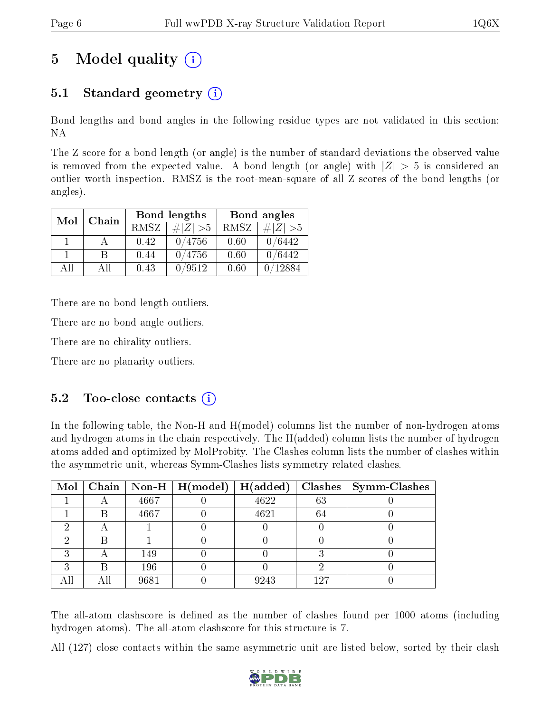# 5 Model quality  $(i)$

## 5.1 Standard geometry (i)

Bond lengths and bond angles in the following residue types are not validated in this section: NA

The Z score for a bond length (or angle) is the number of standard deviations the observed value is removed from the expected value. A bond length (or angle) with  $|Z| > 5$  is considered an outlier worth inspection. RMSZ is the root-mean-square of all Z scores of the bond lengths (or angles).

| Mol | Chain |             | Bond lengths | Bond angles |             |  |
|-----|-------|-------------|--------------|-------------|-------------|--|
|     |       | <b>RMSZ</b> | $\# Z  > 5$  | RMSZ        | $\ Z\  > 5$ |  |
|     |       | 0.42        | 0/4756       | 0.60        | 0/6442      |  |
|     | R     | 0.44        | 0/4756       | 0.60        | 0/6442      |  |
| AH  | Αll   | 0.43        | /9512        | 0.60        | 12884       |  |

There are no bond length outliers.

There are no bond angle outliers.

There are no chirality outliers.

There are no planarity outliers.

### $5.2$  Too-close contacts  $(i)$

In the following table, the Non-H and H(model) columns list the number of non-hydrogen atoms and hydrogen atoms in the chain respectively. The H(added) column lists the number of hydrogen atoms added and optimized by MolProbity. The Clashes column lists the number of clashes within the asymmetric unit, whereas Symm-Clashes lists symmetry related clashes.

|   |   |      | Mol   Chain   Non-H   H(model)   H(added) |      |     | $Class \mid Symm\text{-}\mathrm{Class}$ |
|---|---|------|-------------------------------------------|------|-----|-----------------------------------------|
|   |   | 4667 |                                           | 4622 | 63  |                                         |
|   | B | 4667 |                                           | 4621 | -64 |                                         |
| ച |   |      |                                           |      |     |                                         |
|   |   |      |                                           |      |     |                                         |
| ົ |   | 149  |                                           |      |     |                                         |
| ച | B | 196  |                                           |      |     |                                         |
|   |   | 9681 |                                           | 9243 | 127 |                                         |

The all-atom clashscore is defined as the number of clashes found per 1000 atoms (including hydrogen atoms). The all-atom clashscore for this structure is 7.

All (127) close contacts within the same asymmetric unit are listed below, sorted by their clash

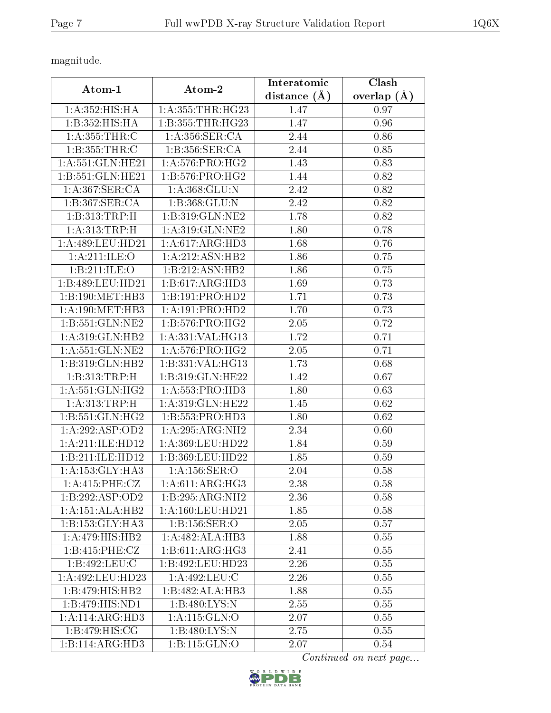magnitude.

| Atom-1                                  | Atom-2                       | Interatomic         | Clash           |
|-----------------------------------------|------------------------------|---------------------|-----------------|
|                                         |                              | $(\AA)$<br>distance | overlap $(\AA)$ |
| 1: A: 352: HIS: HA                      | 1: A: 355: THR: HG23         | 1.47                | 0.97            |
| 1:B:352:HIS:HA                          | 1: B: 355: THR: HG23         | 1.47                | 0.96            |
| 1: A: 355: THR: C                       | 1: A:356: SER:CA             | 2.44                | 0.86            |
| 1:B:355:THR:C                           | 1:B:356:SER:CA               | 2.44                | 0.85            |
| 1: A:551: GLN:HE21                      | 1: A:576: PRO:HG2            | 1.43                | 0.83            |
| 1:B:551:GLN:HE21                        | 1: B: 576: PRO:HG2           | 1.44                | 0.82            |
| 1: A:367: SER:CA                        | 1: A: 368: GLU: N            | 2.42                | 0.82            |
| 1:B:367:SER:CA                          | 1:B:368:GLU:N                | 2.42                | 0.82            |
| 1:B:313:TRP:H                           | 1:B:319:GLN:NE2              | 1.78                | 0.82            |
| 1:A:313:TRP:H                           | 1: A:319: GLN: NE2           | 1.80                | 0.78            |
| 1:A:489:LEU:HD21                        | 1:A:617:ARG:HD3              | 1.68                | 0.76            |
| 1: A:211: ILE: O                        | 1:A:212:ASN:HB2              | 1.86                | 0.75            |
| 1:B:211:ILE:O                           | 1:B:212:ASN:HB2              | 1.86                | 0.75            |
| 1:B:489:LEU:HD21                        | 1:B:617:ARG:HD3              | 1.69                | 0.73            |
| 1:B:190:MET:HB3                         | 1:B:191:PRO:HD2              | 1.71                | 0.73            |
| 1: A:190:MET:HB3                        | 1:A:191:PRO:HD2              | 1.70                | 0.73            |
| $1: B: 551: GLN: \overline{\text{NE2}}$ | $1:B:576:PRO:H\overline{G2}$ | 2.05                | 0.72            |
| 1:A:319:GLN:HB2                         | 1:A:331:VAL:HG13             | 1.72                | 0.71            |
| 1: A:551: GLN:NE2                       | 1: A:576: PRO:HG2            | 2.05                | 0.71            |
| 1:B:319:GLN:HB2                         | 1:B:331:VAL:HG13             | 1.73                | 0.68            |
| 1:B:313:TRP:H                           | 1:B:319:GLN:HE22             | 1.42                | 0.67            |
| 1: A:551: GLN: HG2                      | 1: A: 553: PRO: HD3          | 1.80                | 0.63            |
| 1:A:313:TRP:H                           | 1: A:319: GLN: HE22          | 1.45                | 0.62            |
| 1: B:551: GLN: HG2                      | 1:B:553:PRO:HD3              | 1.80                | 0.62            |
| 1:A:292:ASP:OD2                         | 1:A:295:ARG:NH2              | 2.34                | 0.60            |
| 1:A:211:ILE:HD12                        | 1:A:369:LEU:HD22             | 1.84                | 0.59            |
| 1:B:211:ILE:HD12                        | 1:B:369:LEU:HD22             | 1.85                | 0.59            |
| 1: A: 153: GLY: HA3                     | 1:A:156:SER:O                | 2.04                | 0.58            |
| 1: A:415: PHE: CZ                       | 1: A:611: ARG:HG3            | 2.38                | 0.58            |
| 1:B:292:ASP:OD2                         | 1:B:295:ARG:NH2              | 2.36                | 0.58            |
| 1:A:151:ALA:HB2                         | 1: A: 160: LEU: HD21         | 1.85                | 0.58            |
| 1:B:153:GLY:HA3                         | 1:B:156:SER:O                | 2.05                | 0.57            |
| 1: A:479:HIS:HB2                        | 1:A:482:ALA:HB3              | 1.88                | 0.55            |
| 1:B:415:PHE:CZ                          | 1:B:611:ARG:HG3              | 2.41                | 0.55            |
| 1:B:492:LEU:C                           | 1:B:492:LEU:HD23             | 2.26                | 0.55            |
| 1:A:492:LEU:HD23                        | 1:A:492:LEU:C                | 2.26                | 0.55            |
| 1:B:479:HIS:HB2                         | 1:B:482:ALA:HB3              | 1.88                | 0.55            |
| 1:B:479:HIS:ND1                         | 1:B:480:LYS:N                | 2.55                | 0.55            |
| 1:A:114:ARG:HD3                         | 1:A:115:GLN:O                | 2.07                | 0.55            |
| 1: B:479:HIS:CG                         | 1:B:480:LYS:N                | 2.75                | 0.55            |
| 1:B:114:ARG:HD3                         | 1:B:115:GLN:O                | 2.07                | $0.54\,$        |

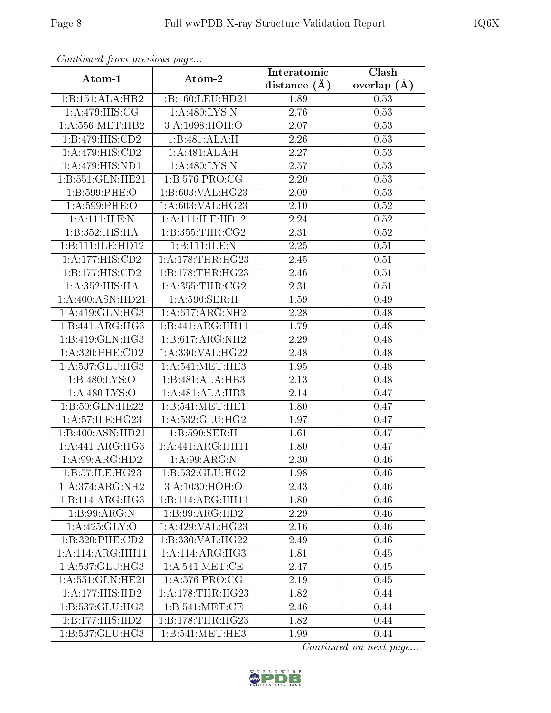| сонинией јтот ртеvious раде<br>Clash<br>Interatomic |                      |                   |               |  |  |
|-----------------------------------------------------|----------------------|-------------------|---------------|--|--|
| Atom-1                                              | Atom-2               | distance $(A)$    | overlap $(A)$ |  |  |
| 1:B:151:ALA:HB2                                     | 1:B:160:LEU:HD21     | 1.89              | 0.53          |  |  |
| 1:A:479:HIS:CG                                      | 1:A:480:LYS:N        | $\overline{2}.76$ | 0.53          |  |  |
| 1: A: 556: MET: HB2                                 | 3: A:1098:HOH:O      | 2.07              | 0.53          |  |  |
| 1:B:479:HIS:CD2                                     | 1:B:481:ALA:H        | 2.26              | 0.53          |  |  |
| 1:A:479:HIS:CD2                                     | 1:A:481:ALA:H        | 2.27              | 0.53          |  |  |
| 1:A:479:HIS:ND1                                     | 1:A:480:LYS:N        | 2.57              | 0.53          |  |  |
| 1:B:551:GLN:HE21                                    | 1: B: 576: PRO:CG    | 2.20              | 0.53          |  |  |
| 1:B:599:PHE:O                                       | 1:B:603:VAL:HG23     | 2.09              | 0.53          |  |  |
| 1:A:599:PHE:O                                       | 1:A:603:VAL:HG23     | 2.10              | 0.52          |  |  |
| 1: A: 111: ILE:N                                    | 1: A: 111: ILE: HD12 | 2.24              | 0.52          |  |  |
| 1:B:352:HIS:HA                                      | 1:B:355:THR:CG2      | 2.31              | 0.52          |  |  |
| 1:B:111:ILE:HD12                                    | 1:B:111:ILE:N        | 2.25              | 0.51          |  |  |
| 1:A:177:HIS:CD2                                     | 1: A:178:THR:HG23    | 2.45              | 0.51          |  |  |
| 1:B:177:HIS:CD2                                     | 1:B:178:THR:HG23     | 2.46              | 0.51          |  |  |
| 1: A:352: HIS: HA                                   | 1: A:355:THR:CG2     | 2.31              | 0.51          |  |  |
| 1: A:400: ASN:HD21                                  | 1: A:590: SER:H      | 1.59              | 0.49          |  |  |
| 1: A:419: GLN: HG3                                  | 1:A:617:ARG:NH2      | 2.28              | 0.48          |  |  |
| 1:B:441:ARG:HG3                                     | 1:B:441:ARG:HH11     | 1.79              | 0.48          |  |  |
| 1:B:419:GLN:HG3                                     | 1:B:617:ARG:NH2      | 2.29              | 0.48          |  |  |
| 1: A:320: PHE:CD2                                   | 1:A:330:VAL:HG22     | 2.48              | 0.48          |  |  |
| 1: A: 537: GLU: HG3                                 | 1: A:541: MET:HE3    | 1.95              | 0.48          |  |  |
| 1:B:480:LYS:O                                       | 1:B:481:ALA:HB3      | 2.13              | 0.48          |  |  |
| 1: A:480: LYS:O                                     | 1:A:481:ALA:HB3      | 2.14              | 0.47          |  |  |
| 1:B:50:GLN:HE22                                     | 1:B:541:MET:HE1      | 1.80              | 0.47          |  |  |
| 1:A:57:ILE:HG23                                     | 1:A:532:GLU:HG2      | 1.97              | 0.47          |  |  |
| 1:B:400:ASN:HD21                                    | 1:B:590:SER:H        | 1.61              | 0.47          |  |  |
| 1:A:441:ARG:HG3                                     | 1:A:441:ARG:HH11     | 1.80              | 0.47          |  |  |
| $1:$ A:99:ARG:HD2                                   | 1: A:99: ARG: N      | 2.30              | 0.46          |  |  |
| 1:B:57:ILE:HG23                                     | 1: B: 532: GLU: HG2  | 1.98              | 0.46          |  |  |
| 1:A:374:ARG:NH2                                     | 3:A:1030:HOH:O       | 2.43              | 0.46          |  |  |
| 1:B:114:ARG:HG3                                     | 1:B:114:ARG:HH11     | 1.80              | 0.46          |  |  |
| 1:B:99:ARG:N                                        | 1:B:99:ARG:HD2       | 2.29              | 0.46          |  |  |
| 1: A:425: GLY:O                                     | 1: A:429: VAL:HG23   | 2.16              | 0.46          |  |  |
| 1:B:320:PHE:CD2                                     | 1:B:330:VAL:HG22     | 2.49              | 0.46          |  |  |
| 1:A:114:ARG:HH11                                    | 1:A:114:ARG:HG3      | 1.81              | 0.45          |  |  |
| 1:A:537:GLU:HG3                                     | 1: A:541:MET:CE      | 2.47              | 0.45          |  |  |
| 1: A:551: GLN:HE21                                  | 1: A:576: PRO:CG     | 2.19              | 0.45          |  |  |
| 1: A:177:HIS:HD2                                    | 1: A:178:THR:HG23    | 1.82              | 0.44          |  |  |
| 1:B:537:GLU:HG3                                     | 1: B:541: MET:CE     | 2.46              | 0.44          |  |  |
| 1:B:177:HIS:HD2                                     | 1:B:178:THR:HG23     | 1.82              | 0.44          |  |  |
| 1:B:537:GLU:HG3                                     | 1: B: 541: MET: HE3  | 1.99              | 0.44          |  |  |

Continued from previous page.

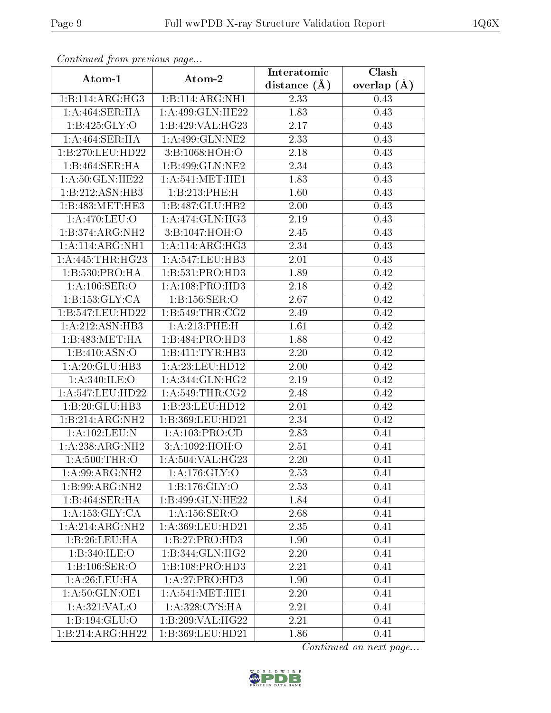| Commaca from previous page          |                            | Interatomic       | Clash         |
|-------------------------------------|----------------------------|-------------------|---------------|
| Atom-1                              | Atom-2                     | distance $(A)$    | overlap $(A)$ |
| 1:B:114:ARG:HG3                     | 1:B:114:ARG:NH1            | 2.33              | 0.43          |
| 1:A:464:SER:HA                      | 1:A:499:GLN:HE22           | 1.83              | 0.43          |
| 1:B:425:GLY:O                       | 1:B:429:VAL:HG23           | 2.17              | 0.43          |
| $1:A:464$ : SER: HA                 | 1: A:499: GLN: NE2         | 2.33              | 0.43          |
| 1:B:270:LEU:HD22                    | 3:B:1068:HOH:O             | 2.18              | 0.43          |
| 1:B:464:SER:HA                      | 1:B:499:GLN:NE2            | 2.34              | 0.43          |
| 1: A:50: GLN: HE22                  | 1: A:541: MET:HE1          | 1.83              | 0.43          |
| 1:B:212:ASN:HB3                     | 1:B:213:PHE:H              | 1.60              | 0.43          |
| 1:B:483:MET:HE3                     | 1:B:487:GLU:HB2            | 2.00              | 0.43          |
| 1: A:470: LEU:O                     | 1: A:474: GLN: HG3         | 2.19              | 0.43          |
| $1:B:374:A\overline{RG:NH2}$        | 3:B:1047:HOH:O             | 2.45              | 0.43          |
| 1:A:114:ARG:NH1                     | 1: A:114: ARG:HG3          | 2.34              | 0.43          |
| 1:A:445:THR:HG23                    | 1:A:547:LEU:HB3            | 2.01              | 0.43          |
| 1: B: 530: PRO:HA                   | 1:B:531:PRO:HD3            | 1.89              | 0.42          |
| 1: A: 106: SER: O                   | 1: A: 108: PRO: HD3        | 2.18              | 0.42          |
| 1: B: 153: GLY: CA                  | 1:B:156:SER:O              | 2.67              | 0.42          |
| 1:B:547:LEU:HD22                    | 1:B:549:THR:CG2            | 2.49              | 0.42          |
| 1: A:212: ASN:HB3                   | 1:A:213:PHE:H              | 1.61              | 0.42          |
| 1:B:483:MET:HA                      | 1:B:484:PRO:HD3            | 1.88              | 0.42          |
| 1:B:410:ASN:O                       | 1:B:411:TYR:HB3            | 2.20              | 0.42          |
| 1:A:20:GLU:HB3                      | 1:A:23:LEU:HD12            | 2.00              | 0.42          |
| 1: A:340: ILE:O                     | 1:A:344:GLN:HG2            | 2.19              | 0.42          |
| 1:A:547:LEU:HD22                    | 1: A:549:THR:CG2           | 2.48              | 0.42          |
| 1:B:20:GLU:HB3                      | 1:B:23:LEU:HD12            | 2.01              | 0.42          |
| 1:B:214:ARG:NH2                     | 1:B:369:LEU:HD21           | $\overline{2}.34$ | 0.42          |
| 1:A:102:LEU:N                       | 1: A: 103: PRO:CD          | 2.83              | 0.41          |
| 1:A:238:ARG:NH2                     | 3:A:1092:HOH:O             | 2.51              | 0.41          |
| 1: A:500:THR:O                      | 1: A: 504: VAL: HG23       | 2.20              | 0.41          |
| 1:A:99:ARG:NH2                      | 1: A:176: GLY:O            | 2.53              | 0.41          |
| 1:B:99:ARG:NH2                      | $1:B:176:\overline{GLY:O}$ | 2.53              | 0.41          |
| 1:B:464:SER:HA                      | 1:B:499:GLN:HE22           | 1.84              | 0.41          |
| 1: A: 153: GLY: CA                  | 1: A: 156: SER. O          | 2.68              | 0.41          |
| $1:A:214:ARG:\overline{\text{NH2}}$ | 1: A:369:LEU:HD21          | 2.35              | 0.41          |
| 1:B:26:LEU:HA                       | 1:B:27:PRO:HD3             | 1.90              | 0.41          |
| 1:B:340:ILE:O                       | 1:B:344:GLN:HG2            | 2.20              | 0.41          |
| 1:B:106:SER:O                       | 1:B:108:PRO:HD3            | 2.21              | 0.41          |
| 1: A:26:LEU:HA                      | 1:A:27:PRO:HD3             | 1.90              | 0.41          |
| $1: A:50: \overline{GLN:OE1}$       | 1: A:541: MET:HE1          | 2.20              | 0.41          |
| 1: A:321: VAL:O                     | 1:A:328:CYS:HA             | 2.21              | 0.41          |
| 1:B:194:GLU:O                       | 1:B:209:VAL:HG22           | 2.21              | 0.41          |
| 1:B:214:ARG:HH22                    | 1:B:369:LEU:HD21           | 1.86              | 0.41          |

Continued from previous page.

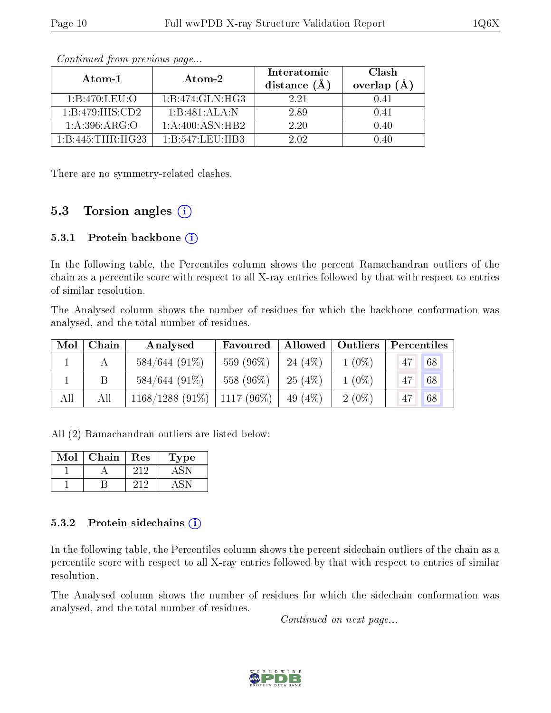| Atom-1           | Atom-2                                  | Interatomic<br>distance $(\AA)$ | Clash<br>overlap $(A)$ |
|------------------|-----------------------------------------|---------------------------------|------------------------|
| 1: B:470: LEU:O  | 1:B:474:GLN:HG3                         | 2.21                            | 0.41                   |
| 1:B:479:HIS:CD2  | $1:B:481:ALA:\overline{A:}\overline{N}$ | 2.89                            | 0.41                   |
| 1: A:396: ARG:O  | 1:A:400:ASN:HB2                         | 2.20                            | 0.40                   |
| 1:B:445:THR:HG23 | 1:B:547:LEU:HB3                         | 2.02                            | በ 4በ                   |

Continued from previous page...

There are no symmetry-related clashes.

### 5.3 Torsion angles  $(i)$

#### 5.3.1 Protein backbone  $(i)$

In the following table, the Percentiles column shows the percent Ramachandran outliers of the chain as a percentile score with respect to all X-ray entries followed by that with respect to entries of similar resolution.

The Analysed column shows the number of residues for which the backbone conformation was analysed, and the total number of residues.

| Mol | Chain | Analysed          | Favoured     |            | Allowed   Outliers | Percentiles |    |
|-----|-------|-------------------|--------------|------------|--------------------|-------------|----|
|     |       | $584/644(91\%)$   | 559 (96%)    | 24 $(4\%)$ | $1(0\%)$           | 47          | 68 |
|     |       | $584/644(91\%)$   | 558 (96%)    | 25(4%)     | $1(0\%)$           | 47          | 68 |
| All | All   | $1168/1288(91\%)$ | $1117(96\%)$ | 49 $(4\%)$ | $2(0\%)$           | 47          | 68 |

All (2) Ramachandran outliers are listed below:

| Mol | Chain | Res | Type |
|-----|-------|-----|------|
|     |       | 919 |      |
|     |       |     |      |

#### 5.3.2 Protein sidechains  $(i)$

In the following table, the Percentiles column shows the percent sidechain outliers of the chain as a percentile score with respect to all X-ray entries followed by that with respect to entries of similar resolution.

The Analysed column shows the number of residues for which the sidechain conformation was analysed, and the total number of residues.

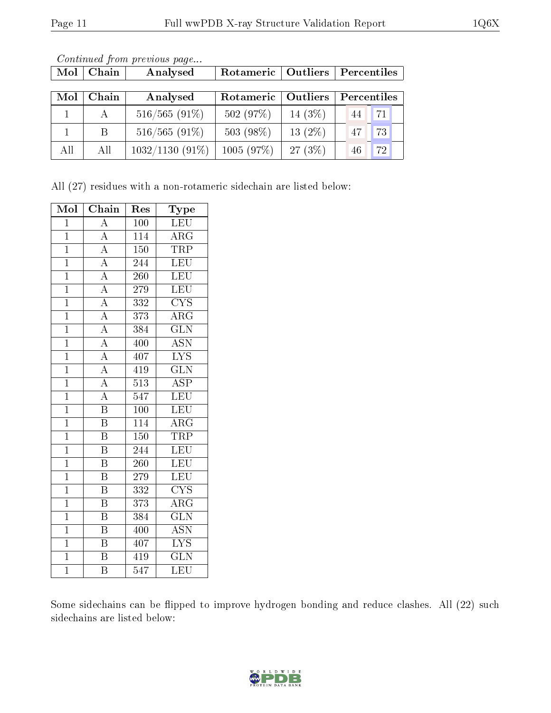| Mol | Chain | Analysed          | Rotameric   Outliers |            | Percentiles |
|-----|-------|-------------------|----------------------|------------|-------------|
|     |       |                   |                      |            |             |
| Mol | Chain | Analysed          | Rotameric            | Outliers   | Percentiles |
|     | A     | $516/565(91\%)$   | 502(97%)             | 14 $(3\%)$ | 71<br>44    |
|     | -B    | $516/565(91\%)$   | 503 (98%)            | 13 $(2\%)$ | 73<br>47    |
| All | All   | $1032/1130(91\%)$ | 1005(97%)            | $27(3\%)$  | 72<br>46    |

Continued from previous page...

All (27) residues with a non-rotameric sidechain are listed below:

| Mol            | Chain                    | $\operatorname{Res}% \left( \mathcal{N}\right) \equiv\operatorname{Res}(\mathcal{N}_{0})\cap\mathcal{N}_{1}$ | Type                    |
|----------------|--------------------------|--------------------------------------------------------------------------------------------------------------|-------------------------|
| $\overline{1}$ | $\overline{\rm A}$       | 100                                                                                                          | <b>LEU</b>              |
| $\overline{1}$ | $\overline{A}$           | 114                                                                                                          | ARG                     |
| $\overline{1}$ | $\overline{A}$           | $\overline{150}$                                                                                             | <b>TRP</b>              |
| $\overline{1}$ | $\overline{A}$           | 244                                                                                                          | LEU                     |
| $\mathbf{1}$   | $\overline{\rm A}$       | 260                                                                                                          | LEU                     |
| $\overline{1}$ | $\frac{1}{\mathbf{A}}$   | 279                                                                                                          | <b>LEU</b>              |
| $\overline{1}$ | $\overline{A}$           | 332                                                                                                          | <b>CYS</b>              |
| $\overline{1}$ | $\overline{A}$           | $\overline{373}$                                                                                             | $\overline{\rm{ARG}}$   |
| $\mathbf{1}$   | $\overline{A}$           | 384                                                                                                          | $\overline{\text{GLN}}$ |
| $\overline{1}$ | $\overline{A}$           | 400                                                                                                          | <b>ASN</b>              |
| $\overline{1}$ | $\frac{\overline{A}}{A}$ | 407                                                                                                          | $\overline{\text{LYS}}$ |
| $\mathbf{1}$   |                          | 419                                                                                                          | $\overline{\text{GLN}}$ |
| $\overline{1}$ | $\overline{A}$           | $\overline{513}$                                                                                             | $\overline{\text{ASP}}$ |
| $\mathbf{1}$   | $\overline{A}$           | 547                                                                                                          | LEU                     |
| $\mathbf{1}$   | $\overline{\mathrm{B}}$  | 100                                                                                                          | <b>LEU</b>              |
| $\overline{1}$ | $\overline{\mathrm{B}}$  | $\overline{114}$                                                                                             | $\rm{ARG}$              |
| $\mathbf{1}$   | $\overline{\mathrm{B}}$  | $150\,$                                                                                                      | TRP                     |
| $\overline{1}$ | $\overline{\mathrm{B}}$  | 244                                                                                                          | LEU                     |
| $\mathbf{1}$   | $\, {\bf B}$             | 260                                                                                                          | LEU                     |
| $\overline{1}$ | $\overline{\mathrm{B}}$  | 279                                                                                                          | <b>LEU</b>              |
| $\overline{1}$ | $\overline{\mathbf{B}}$  | 332                                                                                                          | <b>CYS</b>              |
| $\mathbf{1}$   | $\, {\bf B}$             | 373                                                                                                          | $\overline{\rm{ARG}}$   |
| $\overline{1}$ | $\overline{\mathrm{B}}$  | 384                                                                                                          | $\overline{\text{GLN}}$ |
| $\mathbf{1}$   | $\, {\bf B}$             | 400                                                                                                          | <b>ASN</b>              |
| $\overline{1}$ | $\overline{\mathrm{B}}$  | 407                                                                                                          | $\overline{\text{LYS}}$ |
| $\overline{1}$ | $\overline{\mathrm{B}}$  | 419                                                                                                          | $\overline{\text{GLN}}$ |
| $\overline{1}$ | $\overline{\mathrm{B}}$  | $\overline{5}47$                                                                                             | LEU                     |

Some sidechains can be flipped to improve hydrogen bonding and reduce clashes. All (22) such sidechains are listed below:

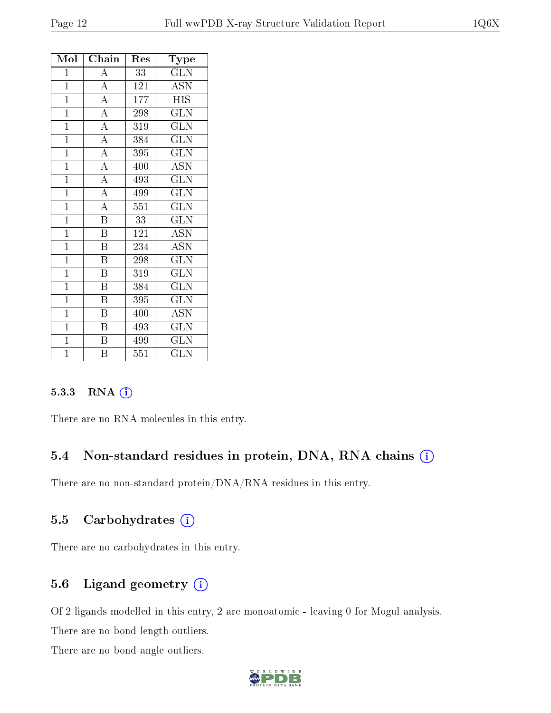| Mol            | Chain                   | $\operatorname{Res}% \left\vert \mathcal{H}\right\vert =\operatorname*{Res}_{\left\vert \mathcal{H}\right\vert }% \left\vert \mathcal{H}% \right\vert =\operatorname*{Res}_{\left\vert \mathcal{H}\right\vert }% \left\vert \mathcal{H}% \right\vert =\operatorname*{R}\left( \left\vert \mathcal{H}% \right\vert \right)$ | $_{\rm Type}$           |
|----------------|-------------------------|----------------------------------------------------------------------------------------------------------------------------------------------------------------------------------------------------------------------------------------------------------------------------------------------------------------------------|-------------------------|
| $\mathbf{1}$   | $\overline{A}$          | $\overline{33}$                                                                                                                                                                                                                                                                                                            | <b>GLN</b>              |
| $\overline{1}$ | $\overline{A}$          | 121                                                                                                                                                                                                                                                                                                                        | <b>ASN</b>              |
| $\overline{1}$ | $\overline{A}$          | 177                                                                                                                                                                                                                                                                                                                        | <b>HIS</b>              |
| $\mathbf{1}$   | $\overline{A}$          | 298                                                                                                                                                                                                                                                                                                                        | <b>GLN</b>              |
| $\mathbf{1}$   | $\overline{A}$          | 319                                                                                                                                                                                                                                                                                                                        | $\overline{\text{GLN}}$ |
| $\mathbf{1}$   | $\overline{A}$          | 384                                                                                                                                                                                                                                                                                                                        | $\widetilde{{\rm GLN}}$ |
| $\overline{1}$ | $\overline{A}$          | 395                                                                                                                                                                                                                                                                                                                        | <b>GLN</b>              |
| $\mathbf{1}$   | $\overline{A}$          | 400                                                                                                                                                                                                                                                                                                                        | <b>ASN</b>              |
| $\overline{1}$ | $\overline{A}$          | 493                                                                                                                                                                                                                                                                                                                        | <b>GLN</b>              |
| $\mathbf{1}$   | $\overline{A}$          | 499                                                                                                                                                                                                                                                                                                                        | $\overline{\text{GLN}}$ |
| $\mathbf{1}$   | $\overline{A}$          | 551                                                                                                                                                                                                                                                                                                                        | <b>GLN</b>              |
| $\mathbf{1}$   | $\overline{\mathrm{B}}$ | 33                                                                                                                                                                                                                                                                                                                         | $\overline{\rm GLN}$    |
| $\overline{1}$ | $\overline{\mathrm{B}}$ | 121                                                                                                                                                                                                                                                                                                                        | <b>ASN</b>              |
| $\overline{1}$ | $\overline{\mathrm{B}}$ | 234                                                                                                                                                                                                                                                                                                                        | <b>ASN</b>              |
| $\mathbf{1}$   | $\boldsymbol{B}$        | 298                                                                                                                                                                                                                                                                                                                        | <b>GLN</b>              |
| $\mathbf{1}$   | $\overline{\mathrm{B}}$ | 319                                                                                                                                                                                                                                                                                                                        | $\overline{\text{GLN}}$ |
| $\mathbf{1}$   | $\, {\bf B}$            | 384                                                                                                                                                                                                                                                                                                                        | <b>GLN</b>              |
| $\overline{1}$ | $\overline{\mathrm{B}}$ | 395                                                                                                                                                                                                                                                                                                                        | <b>GLN</b>              |
| $\mathbf{1}$   | $\, {\bf B}$            | 400                                                                                                                                                                                                                                                                                                                        | <b>ASN</b>              |
| $\overline{1}$ | Β                       | 493                                                                                                                                                                                                                                                                                                                        | <b>GLN</b>              |
| $\overline{1}$ | $\overline{\mathrm{B}}$ | 499                                                                                                                                                                                                                                                                                                                        | $\overline{\text{GLN}}$ |
| $\mathbf{1}$   | B                       | 551                                                                                                                                                                                                                                                                                                                        | <b>GLN</b>              |

#### 5.3.3 RNA (i)

There are no RNA molecules in this entry.

#### 5.4 Non-standard residues in protein, DNA, RNA chains (i)

There are no non-standard protein/DNA/RNA residues in this entry.

#### 5.5 Carbohydrates  $(i)$

There are no carbohydrates in this entry.

### 5.6 Ligand geometry  $(i)$

Of 2 ligands modelled in this entry, 2 are monoatomic - leaving 0 for Mogul analysis.

There are no bond length outliers.

There are no bond angle outliers.

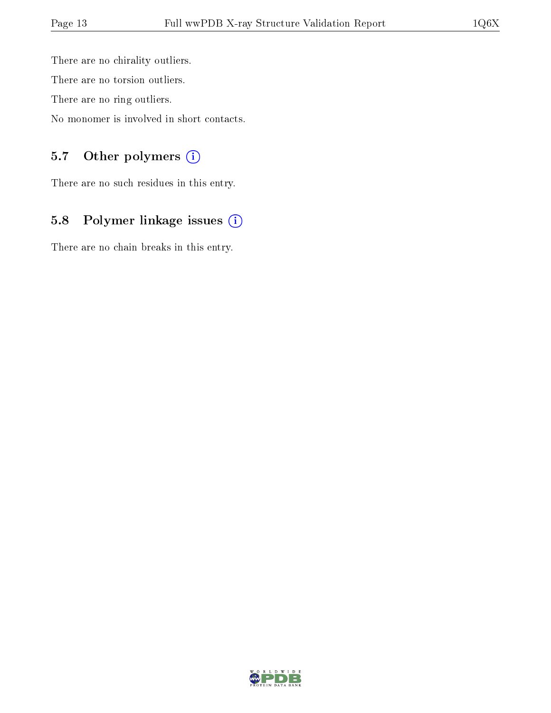There are no chirality outliers. There are no torsion outliers. There are no ring outliers.

No monomer is involved in short contacts.

## 5.7 [O](https://www.wwpdb.org/validation/2017/XrayValidationReportHelp#nonstandard_residues_and_ligands)ther polymers (i)

There are no such residues in this entry.

# 5.8 Polymer linkage issues (i)

There are no chain breaks in this entry.

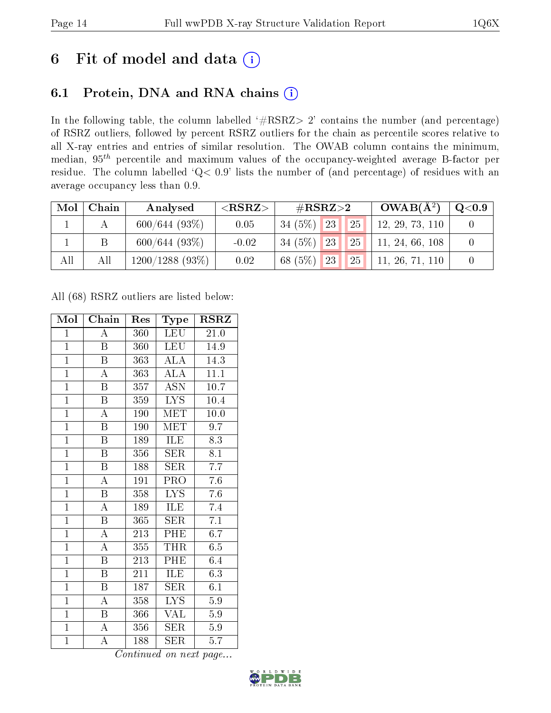# 6 Fit of model and data  $(i)$

# 6.1 Protein, DNA and RNA chains  $(i)$

In the following table, the column labelled  $#RSRZ> 2'$  contains the number (and percentage) of RSRZ outliers, followed by percent RSRZ outliers for the chain as percentile scores relative to all X-ray entries and entries of similar resolution. The OWAB column contains the minimum, median,  $95<sup>th</sup>$  percentile and maximum values of the occupancy-weighted average B-factor per residue. The column labelled ' $Q< 0.9$ ' lists the number of (and percentage) of residues with an average occupancy less than 0.9.

| Mol | Chain | Analysed         | ${ <\bf RSRZ{ > }}$ | $\#\text{RSRZ}{>}2$                      | $OWAB(A^2)$     | Q <sub>0.9</sub> |
|-----|-------|------------------|---------------------|------------------------------------------|-----------------|------------------|
|     |       | $600/644$ (93\%) | 0.05                | $34(5\%)$<br>123 <sub>h</sub><br>25      | 12, 29, 73, 110 |                  |
|     |       | 600/644(93%)     | $-0.02$             | $34(5\%)$<br>$25$   <br>123 <sub>h</sub> | 11, 24, 66, 108 |                  |
| All | All   | 1200/1288(93%)   | 0.02                | 68 (5%)<br>25<br>23 <sub>1</sub>         | 11, 26, 71, 110 |                  |

All (68) RSRZ outliers are listed below:

| Mol            | Chain                   | Res              | Type                      | <b>RSRZ</b>      |
|----------------|-------------------------|------------------|---------------------------|------------------|
| $\mathbf{1}$   | $\overline{\rm A}$      | 360              | LEU                       | 21.0             |
| $\mathbf{1}$   | $\boldsymbol{B}$        | 360              | <b>LEU</b>                | 14.9             |
| $\overline{1}$ | B                       | 363              | <b>ALA</b>                | 14.3             |
| $\overline{1}$ | $\boldsymbol{A}$        | 363              | <b>ALA</b>                | 11.1             |
| $\overline{1}$ | $\overline{\mathrm{B}}$ | 357              | $\overline{\mathrm{ASN}}$ | 10.7             |
| $\overline{1}$ | $\overline{B}$          | 359              | $\overline{\text{LYS}}$   | 10.4             |
| $\overline{1}$ | $\overline{\rm A}$      | 190              | <b>MET</b>                | 10.0             |
| $\overline{1}$ | $\boldsymbol{B}$        | 190              | MET                       | 9.7              |
| $\overline{1}$ | $\overline{\mathrm{B}}$ | 189              | ILE                       | 8.3              |
| $\overline{1}$ | $\overline{\mathrm{B}}$ | 356              | SER                       | $\overline{8.1}$ |
| $\overline{1}$ | $\overline{\mathrm{B}}$ | 188              | <b>SER</b>                | 7.7              |
| $\overline{1}$ | $\overline{\rm A}$      | 191              | $\overline{\mathrm{PRO}}$ | $7.6\,$          |
| $\overline{1}$ | $\overline{\mathrm{B}}$ | 358              | $\overline{\text{LYS}}$   | 7.6              |
| $\overline{1}$ | $\overline{\rm A}$      | 189              | ILE                       | 7.4              |
| $\overline{1}$ | $\overline{\mathrm{B}}$ | 365              | $\overline{\text{SER}}$   | $\overline{7.1}$ |
| $\mathbf{1}$   | $\overline{\rm A}$      | 213              | PHE                       | 6.7              |
| $\overline{1}$ | $\overline{\rm A}$      | $\overline{355}$ | <b>THR</b>                | 6.5              |
| $\overline{1}$ | Β                       | 213              | PHE                       | 6.4              |
| $\overline{1}$ | $\overline{B}$          | 211              | ILE                       | $6.\overline{3}$ |
| $\overline{1}$ | $\overline{\mathbf{B}}$ | 187              | $\rm{SER}$                | 6.1              |
| $\overline{1}$ | $\boldsymbol{A}$        | 358              | <b>LYS</b>                | 5.9              |
| $\overline{1}$ | B                       | 366              | VAL                       | 5.9              |
| $\overline{1}$ | $\boldsymbol{A}$        | 356              | $\overline{\text{SER}}$   | $5.9\,$          |
| $\overline{1}$ | $\overline{\rm A}$      | 188              | SER                       | 5.7              |

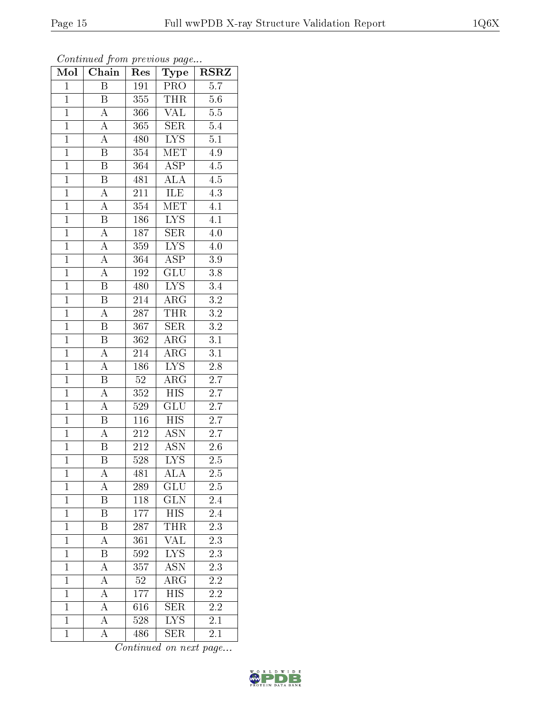| Mol            | Chain                   | $\operatorname{Res}% \left( \mathcal{N}\right) \equiv\operatorname{Res}(\mathcal{N}_{0})\left( \mathcal{N}_{0}\right) ^{2}$ | Type                      | $\rm \bf{RSRZ}$  |
|----------------|-------------------------|-----------------------------------------------------------------------------------------------------------------------------|---------------------------|------------------|
| $\mathbf{1}$   | $\, {\bf B}$            | 191                                                                                                                         | PRO                       | $\overline{5.7}$ |
| $\mathbf{1}$   | B                       | 355                                                                                                                         | <b>THR</b>                | $5.6\,$          |
| $\overline{1}$ | $\overline{\rm A}$      | 366                                                                                                                         | $\overline{\text{VAL}}$   | $\overline{5.5}$ |
| $\overline{1}$ | $\overline{A}$          | 365                                                                                                                         | ${\rm SER}$               | $5.4\,$          |
| $\overline{1}$ | $\overline{A}$          | 480                                                                                                                         | $\overline{\text{LYS}}$   | $\overline{5.1}$ |
| $\mathbf{1}$   | $\overline{\mathrm{B}}$ | 354                                                                                                                         | MET                       | 4.9              |
| $\overline{1}$ | $\overline{\mathrm{B}}$ | 364                                                                                                                         | $\overline{\text{ASP}}$   | $\overline{4.5}$ |
| $\overline{1}$ | $\overline{\mathbf{B}}$ | 481                                                                                                                         | $\overline{\rm ALA}$      | $\overline{4.5}$ |
| $\overline{1}$ | $\boldsymbol{A}$        | $\overline{211}$                                                                                                            | ILE                       | $\overline{4.3}$ |
| $\overline{1}$ | $\overline{A}$          | 354                                                                                                                         | $\overline{\text{MET}}$   | $\overline{4.1}$ |
| $\overline{1}$ | B                       | 186                                                                                                                         | $\overline{\text{LYS}}$   | $\overline{4.1}$ |
| $\overline{1}$ | $\overline{A}$          | 187                                                                                                                         | $\overline{\text{SER}}$   | 4.0              |
| $\overline{1}$ | $\overline{\rm A}$      | 359                                                                                                                         | <b>LYS</b>                | 4.0              |
| $\overline{1}$ | $\overline{A}$          | 364                                                                                                                         | $A\overline{SP}$          | 3.9              |
| $\overline{1}$ | $\overline{\rm A}$      | $192\,$                                                                                                                     | $\overline{{\rm GLU}}$    | $\overline{3.8}$ |
| $\mathbf{1}$   | $\overline{\mathbf{B}}$ | 480                                                                                                                         | $\overline{\text{LYS}}$   | $3.4\,$          |
| $\overline{1}$ | $\overline{\mathrm{B}}$ | 214                                                                                                                         | $\overline{\rm{ARG}}$     | $\overline{3.2}$ |
| $\mathbf{1}$   | $\overline{\rm A}$      | 287                                                                                                                         | <b>THR</b>                | $\overline{3.2}$ |
| $\overline{1}$ | $\rm \bar{B}$           | 367                                                                                                                         | <b>SER</b>                | $\overline{3.2}$ |
| $\overline{1}$ | $\overline{\mathbf{B}}$ | 362                                                                                                                         | $\overline{\text{ARG}}$   | $\overline{3.1}$ |
| $\mathbf{1}$   | $\overline{A}$          | 214                                                                                                                         | $\rm{ARG}$                | $\overline{3.1}$ |
| $\overline{1}$ | $\overline{A}$          | 186                                                                                                                         | $\overline{\text{LYS}}$   | $\overline{2.8}$ |
| $\overline{1}$ | $\, {\bf B}$            | 52                                                                                                                          | $\rm{ARG}$                | 2.7              |
| $\overline{1}$ | $\overline{\rm A}$      | $\overline{352}$                                                                                                            | $\overline{\mathrm{HIS}}$ | $\overline{2.7}$ |
| $\overline{1}$ | $\overline{\rm A}$      | 529                                                                                                                         | GLU                       | 2.7              |
| $\overline{1}$ | $\overline{\mathrm{B}}$ | 116                                                                                                                         | $\overline{HIS}$          | 2.7              |
| $\overline{1}$ | $\overline{\rm A}$      | $\overline{212}$                                                                                                            | $\overline{\text{ASN}}$   | $\overline{2.7}$ |
| $\overline{1}$ | Β                       | $\overline{212}$                                                                                                            | <b>ASN</b>                | 2.6              |
| $\overline{1}$ | Β                       | $\overline{528}$                                                                                                            | $\overline{\rm LYS}$      | $2.\overline{5}$ |
| 1              | А                       | 481                                                                                                                         | ALA                       | 2.5              |
| $\mathbf{1}$   | A                       | 289                                                                                                                         | GLU                       | $2.5\,$          |
| $\mathbf{1}$   | Β                       | 118                                                                                                                         | GLN                       | 2.4              |
| $\mathbf{1}$   | Β                       | 177                                                                                                                         | <b>HIS</b>                | 2.4              |
| $\mathbf 1$    | B                       | 287                                                                                                                         | <b>THR</b>                | $\overline{2.3}$ |
| $\mathbf{1}$   | А                       | 361                                                                                                                         | <b>VAL</b>                | 2.3              |
| $\mathbf{1}$   | B                       | 592                                                                                                                         | <b>LYS</b>                | 2.3              |
| $\mathbf{1}$   | A                       | 357                                                                                                                         | <b>ASN</b>                | $\overline{2.3}$ |
| $\mathbf{1}$   | A                       | $52\,$                                                                                                                      | $\rm{ARG}$                | $2.\overline{2}$ |
| $\overline{1}$ | $\overline{\rm A}$      | 177                                                                                                                         | $\overline{HIS}$          | $\overline{2.2}$ |
| $\mathbf{1}$   | A                       | 616                                                                                                                         | <b>SER</b>                | 2.2              |
| $\mathbf{1}$   | А                       | 528                                                                                                                         | $\overline{\text{LYS}}$   | 2.1              |
| $\mathbf{1}$   | A                       | 486                                                                                                                         | <b>SER</b>                | 2.1              |

Continued from previous page...